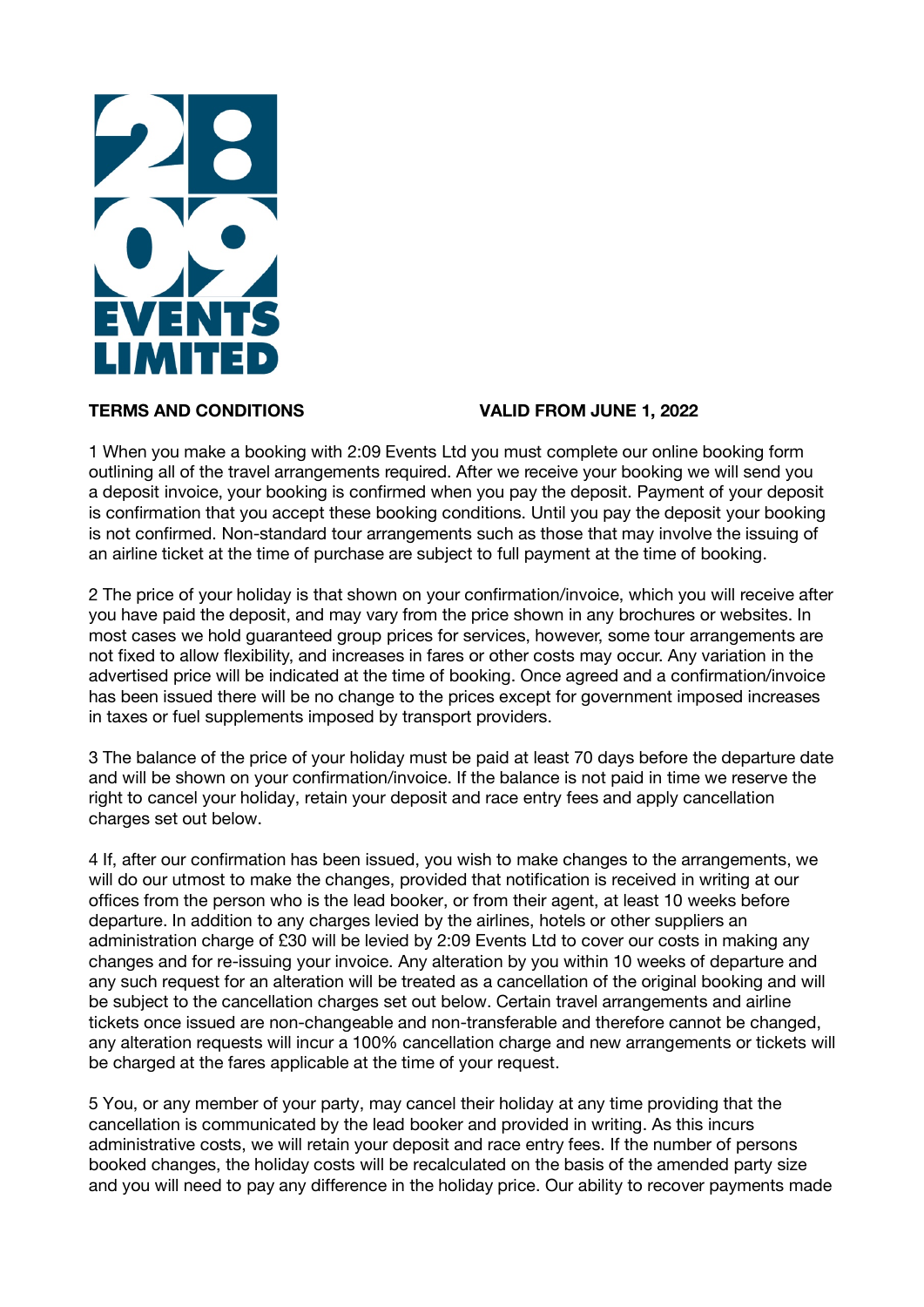

# **TERMS AND CONDITIONS VALID FROM JUNE 1, 2022**

1 When you make a booking with 2:09 Events Ltd you must complete our online booking form outlining all of the travel arrangements required. After we receive your booking we will send you a deposit invoice, your booking is confirmed when you pay the deposit. Payment of your deposit is confirmation that you accept these booking conditions. Until you pay the deposit your booking is not confirmed. Non-standard tour arrangements such as those that may involve the issuing of an airline ticket at the time of purchase are subject to full payment at the time of booking.

2 The price of your holiday is that shown on your confirmation/invoice, which you will receive after you have paid the deposit, and may vary from the price shown in any brochures or websites. In most cases we hold guaranteed group prices for services, however, some tour arrangements are not fixed to allow flexibility, and increases in fares or other costs may occur. Any variation in the advertised price will be indicated at the time of booking. Once agreed and a confirmation/invoice has been issued there will be no change to the prices except for government imposed increases in taxes or fuel supplements imposed by transport providers.

3 The balance of the price of your holiday must be paid at least 70 days before the departure date and will be shown on your confirmation/invoice. If the balance is not paid in time we reserve the right to cancel your holiday, retain your deposit and race entry fees and apply cancellation charges set out below.

4 If, after our confirmation has been issued, you wish to make changes to the arrangements, we will do our utmost to make the changes, provided that notification is received in writing at our offices from the person who is the lead booker, or from their agent, at least 10 weeks before departure. In addition to any charges levied by the airlines, hotels or other suppliers an administration charge of £30 will be levied by 2:09 Events Ltd to cover our costs in making any changes and for re-issuing your invoice. Any alteration by you within 10 weeks of departure and any such request for an alteration will be treated as a cancellation of the original booking and will be subject to the cancellation charges set out below. Certain travel arrangements and airline tickets once issued are non-changeable and non-transferable and therefore cannot be changed, any alteration requests will incur a 100% cancellation charge and new arrangements or tickets will be charged at the fares applicable at the time of your request.

5 You, or any member of your party, may cancel their holiday at any time providing that the cancellation is communicated by the lead booker and provided in writing. As this incurs administrative costs, we will retain your deposit and race entry fees. If the number of persons booked changes, the holiday costs will be recalculated on the basis of the amended party size and you will need to pay any difference in the holiday price. Our ability to recover payments made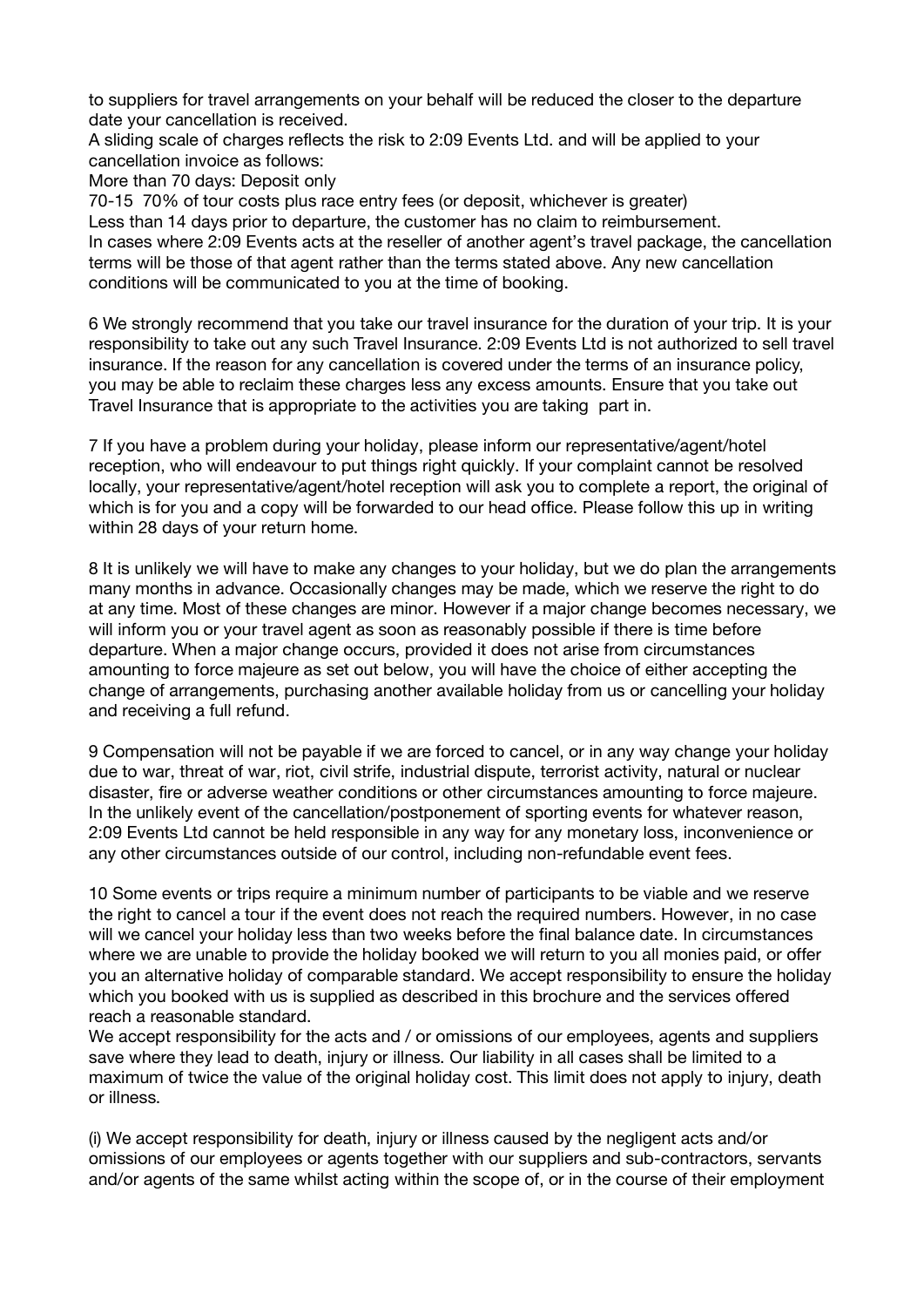to suppliers for travel arrangements on your behalf will be reduced the closer to the departure date your cancellation is received.

A sliding scale of charges reflects the risk to 2:09 Events Ltd. and will be applied to your cancellation invoice as follows:

More than 70 days: Deposit only

70-15 70% of tour costs plus race entry fees (or deposit, whichever is greater) Less than 14 days prior to departure, the customer has no claim to reimbursement. In cases where 2:09 Events acts at the reseller of another agent's travel package, the cancellation terms will be those of that agent rather than the terms stated above. Any new cancellation conditions will be communicated to you at the time of booking.

6 We strongly recommend that you take our travel insurance for the duration of your trip. It is your responsibility to take out any such Travel Insurance. 2:09 Events Ltd is not authorized to sell travel insurance. If the reason for any cancellation is covered under the terms of an insurance policy, you may be able to reclaim these charges less any excess amounts. Ensure that you take out Travel Insurance that is appropriate to the activities you are taking part in.

7 If you have a problem during your holiday, please inform our representative/agent/hotel reception, who will endeavour to put things right quickly. If your complaint cannot be resolved locally, your representative/agent/hotel reception will ask you to complete a report, the original of which is for you and a copy will be forwarded to our head office. Please follow this up in writing within 28 days of your return home.

8 It is unlikely we will have to make any changes to your holiday, but we do plan the arrangements many months in advance. Occasionally changes may be made, which we reserve the right to do at any time. Most of these changes are minor. However if a major change becomes necessary, we will inform you or your travel agent as soon as reasonably possible if there is time before departure. When a major change occurs, provided it does not arise from circumstances amounting to force majeure as set out below, you will have the choice of either accepting the change of arrangements, purchasing another available holiday from us or cancelling your holiday and receiving a full refund.

9 Compensation will not be payable if we are forced to cancel, or in any way change your holiday due to war, threat of war, riot, civil strife, industrial dispute, terrorist activity, natural or nuclear disaster, fire or adverse weather conditions or other circumstances amounting to force majeure. In the unlikely event of the cancellation/postponement of sporting events for whatever reason, 2:09 Events Ltd cannot be held responsible in any way for any monetary loss, inconvenience or any other circumstances outside of our control, including non-refundable event fees.

10 Some events or trips require a minimum number of participants to be viable and we reserve the right to cancel a tour if the event does not reach the required numbers. However, in no case will we cancel your holiday less than two weeks before the final balance date. In circumstances where we are unable to provide the holiday booked we will return to you all monies paid, or offer you an alternative holiday of comparable standard. We accept responsibility to ensure the holiday which you booked with us is supplied as described in this brochure and the services offered reach a reasonable standard.

We accept responsibility for the acts and / or omissions of our employees, agents and suppliers save where they lead to death, injury or illness. Our liability in all cases shall be limited to a maximum of twice the value of the original holiday cost. This limit does not apply to injury, death or illness.

(i) We accept responsibility for death, injury or illness caused by the negligent acts and/or omissions of our employees or agents together with our suppliers and sub-contractors, servants and/or agents of the same whilst acting within the scope of, or in the course of their employment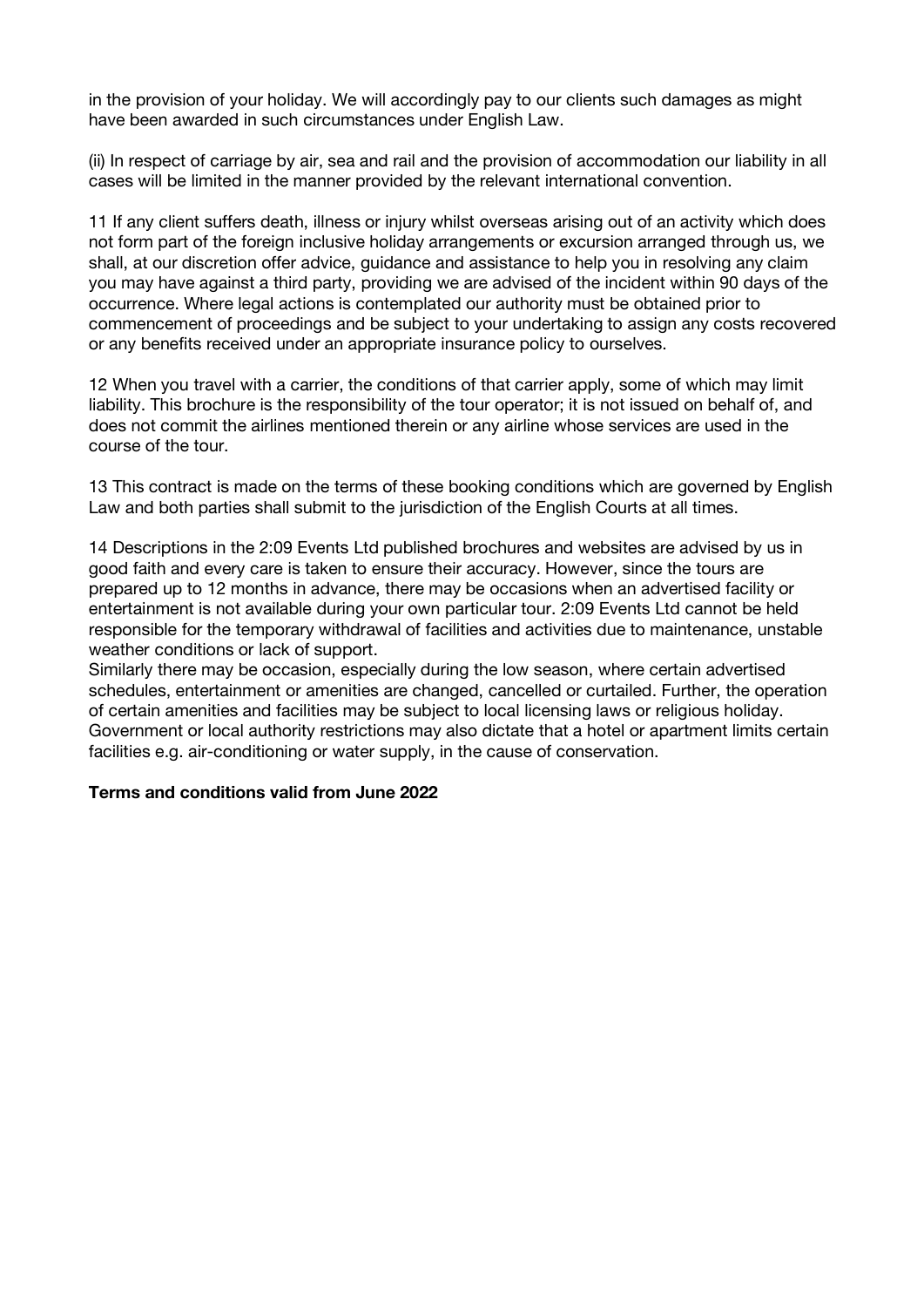in the provision of your holiday. We will accordingly pay to our clients such damages as might have been awarded in such circumstances under English Law.

(ii) In respect of carriage by air, sea and rail and the provision of accommodation our liability in all cases will be limited in the manner provided by the relevant international convention.

11 If any client suffers death, illness or injury whilst overseas arising out of an activity which does not form part of the foreign inclusive holiday arrangements or excursion arranged through us, we shall, at our discretion offer advice, guidance and assistance to help you in resolving any claim you may have against a third party, providing we are advised of the incident within 90 days of the occurrence. Where legal actions is contemplated our authority must be obtained prior to commencement of proceedings and be subject to your undertaking to assign any costs recovered or any benefits received under an appropriate insurance policy to ourselves.

12 When you travel with a carrier, the conditions of that carrier apply, some of which may limit liability. This brochure is the responsibility of the tour operator; it is not issued on behalf of, and does not commit the airlines mentioned therein or any airline whose services are used in the course of the tour.

13 This contract is made on the terms of these booking conditions which are governed by English Law and both parties shall submit to the jurisdiction of the English Courts at all times.

14 Descriptions in the 2:09 Events Ltd published brochures and websites are advised by us in good faith and every care is taken to ensure their accuracy. However, since the tours are prepared up to 12 months in advance, there may be occasions when an advertised facility or entertainment is not available during your own particular tour. 2:09 Events Ltd cannot be held responsible for the temporary withdrawal of facilities and activities due to maintenance, unstable weather conditions or lack of support.

Similarly there may be occasion, especially during the low season, where certain advertised schedules, entertainment or amenities are changed, cancelled or curtailed. Further, the operation of certain amenities and facilities may be subject to local licensing laws or religious holiday. Government or local authority restrictions may also dictate that a hotel or apartment limits certain facilities e.g. air-conditioning or water supply, in the cause of conservation.

### **Terms and conditions valid from June 2022**